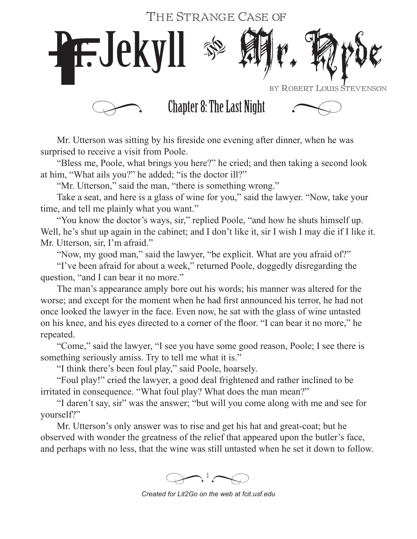## The Strange Case of



Mr. Utterson was sitting by his fireside one evening after dinner, when he was surprised to receive a visit from Poole.

"Bless me, Poole, what brings you here?" he cried; and then taking a second look at him, "What ails you?" he added; "is the doctor ill?"

"Mr. Utterson," said the man, "there is something wrong."

Take a seat, and here is a glass of wine for you," said the lawyer. "Now, take your time, and tell me plainly what you want."

"You know the doctor's ways, sir," replied Poole, "and how he shuts himself up. Well, he's shut up again in the cabinet; and I don't like it, sir I wish I may die if I like it. Mr. Utterson, sir, I'm afraid."

"Now, my good man," said the lawyer, "be explicit. What are you afraid of?"

"I've been afraid for about a week," returned Poole, doggedly disregarding the question, "and I can bear it no more."

The man's appearance amply bore out his words; his manner was altered for the worse; and except for the moment when he had first announced his terror, he had not once looked the lawyer in the face. Even now, he sat with the glass of wine untasted on his knee, and his eyes directed to a corner of the floor. "I can bear it no more," he repeated.

"Come," said the lawyer, "I see you have some good reason, Poole; I see there is something seriously amiss. Try to tell me what it is."

"I think there's been foul play," said Poole, hoarsely.

"Foul play!" cried the lawyer, a good deal frightened and rather inclined to be irritated in consequence. "What foul play? What does the man mean?"

"I daren't say, sir" was the answer; "but will you come along with me and see for yourself?"

Mr. Utterson's only answer was to rise and get his hat and great-coat; but he observed with wonder the greatness of the relief that appeared upon the butler's face, and perhaps with no less, that the wine was still untasted when he set it down to follow.

 $\bigotimes$ <sup>1</sup> $\bigotimes$ 

*Created for Lit2Go on the web at fcit.usf.edu*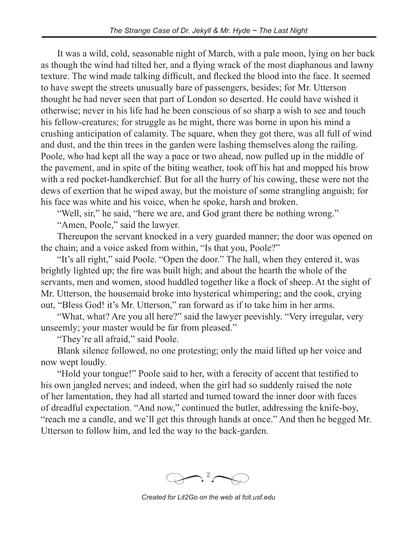It was a wild, cold, seasonable night of March, with a pale moon, lying on her back as though the wind had tilted her, and a flying wrack of the most diaphanous and lawny texture. The wind made talking difficult, and flecked the blood into the face. It seemed to have swept the streets unusually bare of passengers, besides; for Mr. Utterson thought he had never seen that part of London so deserted. He could have wished it otherwise; never in his life had he been conscious of so sharp a wish to see and touch his fellow-creatures; for struggle as he might, there was borne in upon his mind a crushing anticipation of calamity. The square, when they got there, was all full of wind and dust, and the thin trees in the garden were lashing themselves along the railing. Poole, who had kept all the way a pace or two ahead, now pulled up in the middle of the pavement, and in spite of the biting weather, took off his hat and mopped his brow with a red pocket-handkerchief. But for all the hurry of his cowing, these were not the dews of exertion that he wiped away, but the moisture of some strangling anguish; for his face was white and his voice, when he spoke, harsh and broken.

"Well, sir," he said, "here we are, and God grant there be nothing wrong."

"Amen, Poole," said the lawyer.

Thereupon the servant knocked in a very guarded manner; the door was opened on the chain; and a voice asked from within, "Is that you, Poole?"

"It's all right," said Poole. "Open the door." The hall, when they entered it, was brightly lighted up; the fire was built high; and about the hearth the whole of the servants, men and women, stood huddled together like a flock of sheep. At the sight of Mr. Utterson, the housemaid broke into hysterical whimpering; and the cook, crying out, "Bless God! it's Mr. Utterson," ran forward as if to take him in her arms.

"What, what? Are you all here?" said the lawyer peevishly. "Very irregular, very unseemly; your master would be far from pleased."

"They're all afraid," said Poole.

Blank silence followed, no one protesting; only the maid lifted up her voice and now wept loudly.

"Hold your tongue!" Poole said to her, with a ferocity of accent that testified to his own jangled nerves; and indeed, when the girl had so suddenly raised the note of her lamentation, they had all started and turned toward the inner door with faces of dreadful expectation. "And now," continued the butler, addressing the knife-boy, "reach me a candle, and we'll get this through hands at once." And then he begged Mr. Utterson to follow him, and led the way to the back-garden.

 $\frac{2}{\sqrt{2}}$ *�*

*Created for Lit2Go on the web at fcit.usf.edu*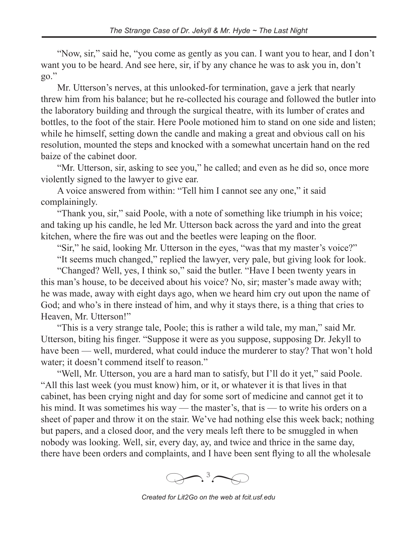"Now, sir," said he, "you come as gently as you can. I want you to hear, and I don't want you to be heard. And see here, sir, if by any chance he was to ask you in, don't go."

Mr. Utterson's nerves, at this unlooked-for termination, gave a jerk that nearly threw him from his balance; but he re-collected his courage and followed the butler into the laboratory building and through the surgical theatre, with its lumber of crates and bottles, to the foot of the stair. Here Poole motioned him to stand on one side and listen; while he himself, setting down the candle and making a great and obvious call on his resolution, mounted the steps and knocked with a somewhat uncertain hand on the red baize of the cabinet door.

"Mr. Utterson, sir, asking to see you," he called; and even as he did so, once more violently signed to the lawyer to give ear.

A voice answered from within: "Tell him I cannot see any one," it said complainingly.

"Thank you, sir," said Poole, with a note of something like triumph in his voice; and taking up his candle, he led Mr. Utterson back across the yard and into the great kitchen, where the fire was out and the beetles were leaping on the floor.

"Sir," he said, looking Mr. Utterson in the eyes, "was that my master's voice?"

"It seems much changed," replied the lawyer, very pale, but giving look for look.

"Changed? Well, yes, I think so," said the butler. "Have I been twenty years in this man's house, to be deceived about his voice? No, sir; master's made away with; he was made, away with eight days ago, when we heard him cry out upon the name of God; and who's in there instead of him, and why it stays there, is a thing that cries to Heaven, Mr. Utterson!"

"This is a very strange tale, Poole; this is rather a wild tale, my man," said Mr. Utterson, biting his finger. "Suppose it were as you suppose, supposing Dr. Jekyll to have been — well, murdered, what could induce the murderer to stay? That won't hold water; it doesn't commend itself to reason."

"Well, Mr. Utterson, you are a hard man to satisfy, but I'll do it yet," said Poole. "All this last week (you must know) him, or it, or whatever it is that lives in that cabinet, has been crying night and day for some sort of medicine and cannot get it to his mind. It was sometimes his way — the master's, that is — to write his orders on a sheet of paper and throw it on the stair. We've had nothing else this week back; nothing but papers, and a closed door, and the very meals left there to be smuggled in when nobody was looking. Well, sir, every day, ay, and twice and thrice in the same day, there have been orders and complaints, and I have been sent flying to all the wholesale



*Created for Lit2Go on the web at fcit.usf.edu*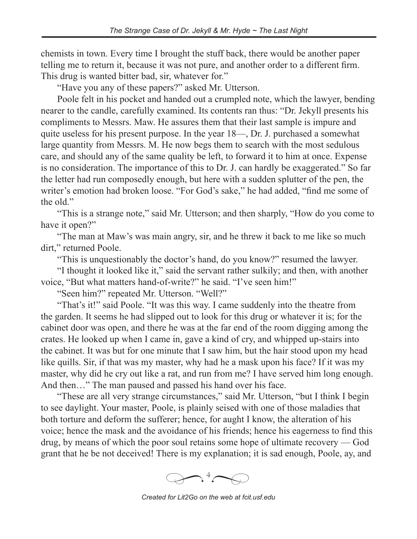chemists in town. Every time I brought the stuff back, there would be another paper telling me to return it, because it was not pure, and another order to a different firm. This drug is wanted bitter bad, sir, whatever for."

"Have you any of these papers?" asked Mr. Utterson.

Poole felt in his pocket and handed out a crumpled note, which the lawyer, bending nearer to the candle, carefully examined. Its contents ran thus: "Dr. Jekyll presents his compliments to Messrs. Maw. He assures them that their last sample is impure and quite useless for his present purpose. In the year 18—, Dr. J. purchased a somewhat large quantity from Messrs. M. He now begs them to search with the most sedulous care, and should any of the same quality be left, to forward it to him at once. Expense is no consideration. The importance of this to Dr. J. can hardly be exaggerated." So far the letter had run composedly enough, but here with a sudden splutter of the pen, the writer's emotion had broken loose. "For God's sake," he had added, "find me some of the old."

"This is a strange note," said Mr. Utterson; and then sharply, "How do you come to have it open?"

"The man at Maw's was main angry, sir, and he threw it back to me like so much dirt," returned Poole.

"This is unquestionably the doctor's hand, do you know?" resumed the lawyer.

"I thought it looked like it," said the servant rather sulkily; and then, with another voice, "But what matters hand-of-write?" he said. "I've seen him!"

"Seen him?" repeated Mr. Utterson. "Well?"

"That's it!" said Poole. "It was this way. I came suddenly into the theatre from the garden. It seems he had slipped out to look for this drug or whatever it is; for the cabinet door was open, and there he was at the far end of the room digging among the crates. He looked up when I came in, gave a kind of cry, and whipped up-stairs into the cabinet. It was but for one minute that I saw him, but the hair stood upon my head like quills. Sir, if that was my master, why had he a mask upon his face? If it was my master, why did he cry out like a rat, and run from me? I have served him long enough. And then…" The man paused and passed his hand over his face.

"These are all very strange circumstances," said Mr. Utterson, "but I think I begin to see daylight. Your master, Poole, is plainly seised with one of those maladies that both torture and deform the sufferer; hence, for aught I know, the alteration of his voice; hence the mask and the avoidance of his friends; hence his eagerness to find this drug, by means of which the poor soul retains some hope of ultimate recovery — God grant that he be not deceived! There is my explanation; it is sad enough, Poole, ay, and



*Created for Lit2Go on the web at fcit.usf.edu*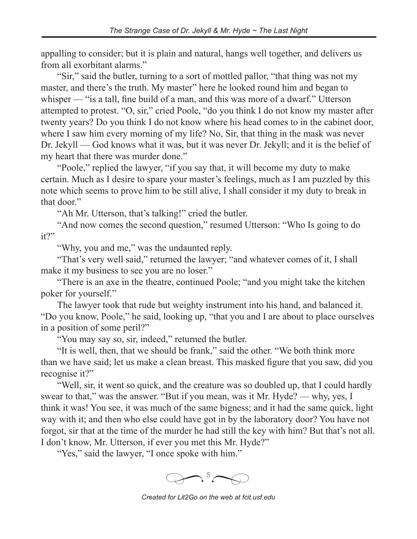appalling to consider; but it is plain and natural, hangs well together, and delivers us from all exorbitant alarms."

"Sir," said the butler, turning to a sort of mottled pallor, "that thing was not my master, and there's the truth. My master" here he looked round him and began to whisper — "is a tall, fine build of a man, and this was more of a dwarf." Utterson attempted to protest. "O, sir," cried Poole, "do you think I do not know my master after twenty years? Do you think I do not know where his head comes to in the cabinet door, where I saw him every morning of my life? No, Sir, that thing in the mask was never Dr. Jekyll — God knows what it was, but it was never Dr. Jekyll; and it is the belief of my heart that there was murder done."

"Poole," replied the lawyer, "if you say that, it will become my duty to make certain. Much as I desire to spare your master's feelings, much as I am puzzled by this note which seems to prove him to be still alive, I shall consider it my duty to break in that door."

"Ah Mr. Utterson, that's talking!" cried the butler.

"And now comes the second question," resumed Utterson: "Who Is going to do it?"

"Why, you and me," was the undaunted reply.

"That's very well said," returned the lawyer; "and whatever comes of it, I shall make it my business to see you are no loser."

"There is an axe in the theatre, continued Poole; "and you might take the kitchen poker for yourself."

The lawyer took that rude but weighty instrument into his hand, and balanced it. "Do you know, Poole," he said, looking up, "that you and I are about to place ourselves in a position of some peril?"

"You may say so, sir, indeed," returned the butler.

"It is well, then, that we should be frank," said the other. "We both think more than we have said; let us make a clean breast. This masked figure that you saw, did you recognise it?"

"Well, sir, it went so quick, and the creature was so doubled up, that I could hardly swear to that," was the answer. "But if you mean, was it Mr. Hyde? — why, yes, I think it was! You see, it was much of the same bigness; and it had the same quick, light way with it; and then who else could have got in by the laboratory door? You have not forgot, sir that at the time of the murder he had still the key with him? But that's not all. I don't know, Mr. Utterson, if ever you met this Mr. Hyde?"

"Yes," said the lawyer, "I once spoke with him."



*Created for Lit2Go on the web at fcit.usf.edu*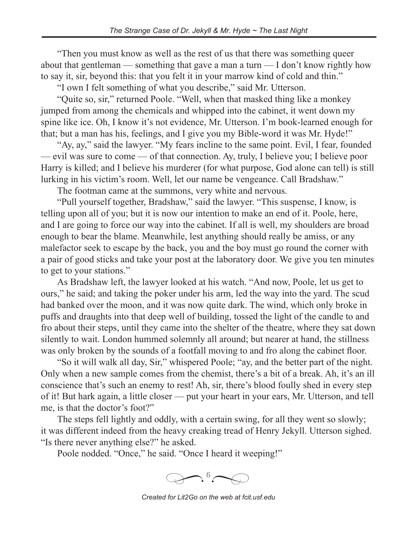"Then you must know as well as the rest of us that there was something queer about that gentleman — something that gave a man a turn — I don't know rightly how to say it, sir, beyond this: that you felt it in your marrow kind of cold and thin."

"I own I felt something of what you describe," said Mr. Utterson.

"Quite so, sir," returned Poole. "Well, when that masked thing like a monkey jumped from among the chemicals and whipped into the cabinet, it went down my spine like ice. Oh, I know it's not evidence, Mr. Utterson. I'm book-learned enough for that; but a man has his, feelings, and I give you my Bible-word it was Mr. Hyde!"

"Ay, ay," said the lawyer. "My fears incline to the same point. Evil, I fear, founded — evil was sure to come — of that connection. Ay, truly, I believe you; I believe poor Harry is killed; and I believe his murderer (for what purpose, God alone can tell) is still lurking in his victim's room. Well, let our name be vengeance. Call Bradshaw."

The footman came at the summons, very white and nervous.

"Pull yourself together, Bradshaw," said the lawyer. "This suspense, I know, is telling upon all of you; but it is now our intention to make an end of it. Poole, here, and I are going to force our way into the cabinet. If all is well, my shoulders are broad enough to bear the blame. Meanwhile, lest anything should really be amiss, or any malefactor seek to escape by the back, you and the boy must go round the corner with a pair of good sticks and take your post at the laboratory door. We give you ten minutes to get to your stations."

As Bradshaw left, the lawyer looked at his watch. "And now, Poole, let us get to ours," he said; and taking the poker under his arm, led the way into the yard. The scud had banked over the moon, and it was now quite dark. The wind, which only broke in puffs and draughts into that deep well of building, tossed the light of the candle to and fro about their steps, until they came into the shelter of the theatre, where they sat down silently to wait. London hummed solemnly all around; but nearer at hand, the stillness was only broken by the sounds of a footfall moving to and fro along the cabinet floor.

"So it will walk all day, Sir," whispered Poole; "ay, and the better part of the night. Only when a new sample comes from the chemist, there's a bit of a break. Ah, it's an ill conscience that's such an enemy to rest! Ah, sir, there's blood foully shed in every step of it! But hark again, a little closer — put your heart in your ears, Mr. Utterson, and tell me, is that the doctor's foot?"

The steps fell lightly and oddly, with a certain swing, for all they went so slowly; it was different indeed from the heavy creaking tread of Henry Jekyll. Utterson sighed. "Is there never anything else?" he asked.

Poole nodded. "Once," he said. "Once I heard it weeping!"



*Created for Lit2Go on the web at fcit.usf.edu*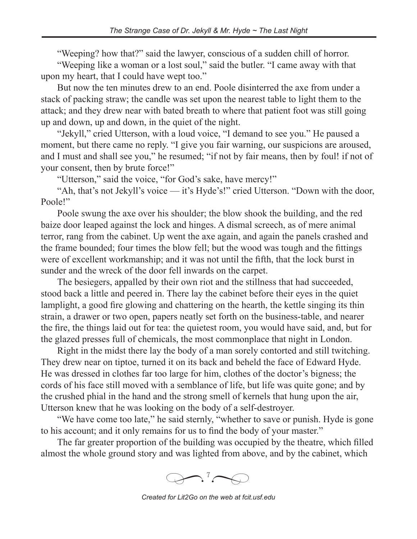"Weeping? how that?" said the lawyer, conscious of a sudden chill of horror.

"Weeping like a woman or a lost soul," said the butler. "I came away with that upon my heart, that I could have wept too."

But now the ten minutes drew to an end. Poole disinterred the axe from under a stack of packing straw; the candle was set upon the nearest table to light them to the attack; and they drew near with bated breath to where that patient foot was still going up and down, up and down, in the quiet of the night.

"Jekyll," cried Utterson, with a loud voice, "I demand to see you." He paused a moment, but there came no reply. "I give you fair warning, our suspicions are aroused, and I must and shall see you," he resumed; "if not by fair means, then by foul! if not of your consent, then by brute force!"

"Utterson," said the voice, "for God's sake, have mercy!"

"Ah, that's not Jekyll's voice — it's Hyde's!" cried Utterson. "Down with the door, Poole!"

Poole swung the axe over his shoulder; the blow shook the building, and the red baize door leaped against the lock and hinges. A dismal screech, as of mere animal terror, rang from the cabinet. Up went the axe again, and again the panels crashed and the frame bounded; four times the blow fell; but the wood was tough and the fittings were of excellent workmanship; and it was not until the fifth, that the lock burst in sunder and the wreck of the door fell inwards on the carpet.

The besiegers, appalled by their own riot and the stillness that had succeeded, stood back a little and peered in. There lay the cabinet before their eyes in the quiet lamplight, a good fire glowing and chattering on the hearth, the kettle singing its thin strain, a drawer or two open, papers neatly set forth on the business-table, and nearer the fire, the things laid out for tea: the quietest room, you would have said, and, but for the glazed presses full of chemicals, the most commonplace that night in London.

Right in the midst there lay the body of a man sorely contorted and still twitching. They drew near on tiptoe, turned it on its back and beheld the face of Edward Hyde. He was dressed in clothes far too large for him, clothes of the doctor's bigness; the cords of his face still moved with a semblance of life, but life was quite gone; and by the crushed phial in the hand and the strong smell of kernels that hung upon the air, Utterson knew that he was looking on the body of a self-destroyer.

"We have come too late," he said sternly, "whether to save or punish. Hyde is gone to his account; and it only remains for us to find the body of your master."

The far greater proportion of the building was occupied by the theatre, which filled almost the whole ground story and was lighted from above, and by the cabinet, which



*Created for Lit2Go on the web at fcit.usf.edu*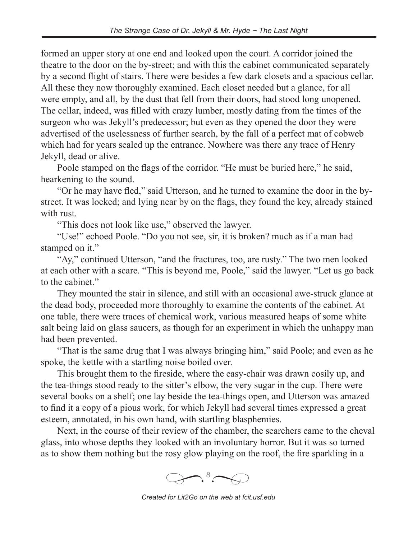formed an upper story at one end and looked upon the court. A corridor joined the theatre to the door on the by-street; and with this the cabinet communicated separately by a second flight of stairs. There were besides a few dark closets and a spacious cellar. All these they now thoroughly examined. Each closet needed but a glance, for all were empty, and all, by the dust that fell from their doors, had stood long unopened. The cellar, indeed, was filled with crazy lumber, mostly dating from the times of the surgeon who was Jekyll's predecessor; but even as they opened the door they were advertised of the uselessness of further search, by the fall of a perfect mat of cobweb which had for years sealed up the entrance. Nowhere was there any trace of Henry Jekyll, dead or alive.

Poole stamped on the flags of the corridor. "He must be buried here," he said, hearkening to the sound.

"Or he may have fled," said Utterson, and he turned to examine the door in the bystreet. It was locked; and lying near by on the flags, they found the key, already stained with rust.

"This does not look like use," observed the lawyer.

"Use!" echoed Poole. "Do you not see, sir, it is broken? much as if a man had stamped on it."

"Ay," continued Utterson, "and the fractures, too, are rusty." The two men looked at each other with a scare. "This is beyond me, Poole," said the lawyer. "Let us go back to the cabinet."

They mounted the stair in silence, and still with an occasional awe-struck glance at the dead body, proceeded more thoroughly to examine the contents of the cabinet. At one table, there were traces of chemical work, various measured heaps of some white salt being laid on glass saucers, as though for an experiment in which the unhappy man had been prevented.

"That is the same drug that I was always bringing him," said Poole; and even as he spoke, the kettle with a startling noise boiled over.

This brought them to the fireside, where the easy-chair was drawn cosily up, and the tea-things stood ready to the sitter's elbow, the very sugar in the cup. There were several books on a shelf; one lay beside the tea-things open, and Utterson was amazed to find it a copy of a pious work, for which Jekyll had several times expressed a great esteem, annotated, in his own hand, with startling blasphemies.

Next, in the course of their review of the chamber, the searchers came to the cheval glass, into whose depths they looked with an involuntary horror. But it was so turned as to show them nothing but the rosy glow playing on the roof, the fire sparkling in a



*Created for Lit2Go on the web at fcit.usf.edu*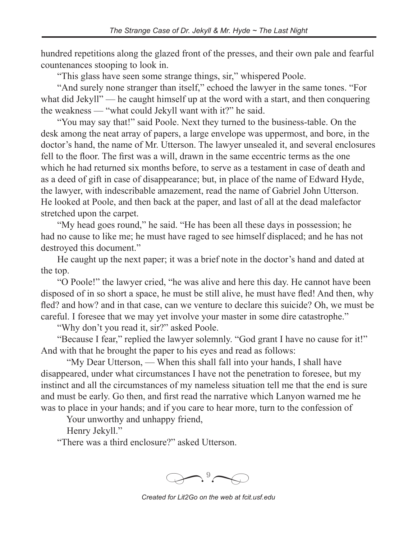hundred repetitions along the glazed front of the presses, and their own pale and fearful countenances stooping to look in.

"This glass have seen some strange things, sir," whispered Poole.

"And surely none stranger than itself," echoed the lawyer in the same tones. "For what did Jekyll" — he caught himself up at the word with a start, and then conquering the weakness — "what could Jekyll want with it?" he said.

"You may say that!" said Poole. Next they turned to the business-table. On the desk among the neat array of papers, a large envelope was uppermost, and bore, in the doctor's hand, the name of Mr. Utterson. The lawyer unsealed it, and several enclosures fell to the floor. The first was a will, drawn in the same eccentric terms as the one which he had returned six months before, to serve as a testament in case of death and as a deed of gift in case of disappearance; but, in place of the name of Edward Hyde, the lawyer, with indescribable amazement, read the name of Gabriel John Utterson. He looked at Poole, and then back at the paper, and last of all at the dead malefactor stretched upon the carpet.

"My head goes round," he said. "He has been all these days in possession; he had no cause to like me; he must have raged to see himself displaced; and he has not destroyed this document."

He caught up the next paper; it was a brief note in the doctor's hand and dated at the top.

"O Poole!" the lawyer cried, "he was alive and here this day. He cannot have been disposed of in so short a space, he must be still alive, he must have fled! And then, why fled? and how? and in that case, can we venture to declare this suicide? Oh, we must be careful. I foresee that we may yet involve your master in some dire catastrophe."

"Why don't you read it, sir?" asked Poole.

"Because I fear," replied the lawyer solemnly. "God grant I have no cause for it!" And with that he brought the paper to his eyes and read as follows:

 "My Dear Utterson, — When this shall fall into your hands, I shall have disappeared, under what circumstances I have not the penetration to foresee, but my instinct and all the circumstances of my nameless situation tell me that the end is sure and must be early. Go then, and first read the narrative which Lanyon warned me he was to place in your hands; and if you care to hear more, turn to the confession of

Your unworthy and unhappy friend,

Henry Jekyll."

"There was a third enclosure?" asked Utterson.



*Created for Lit2Go on the web at fcit.usf.edu*